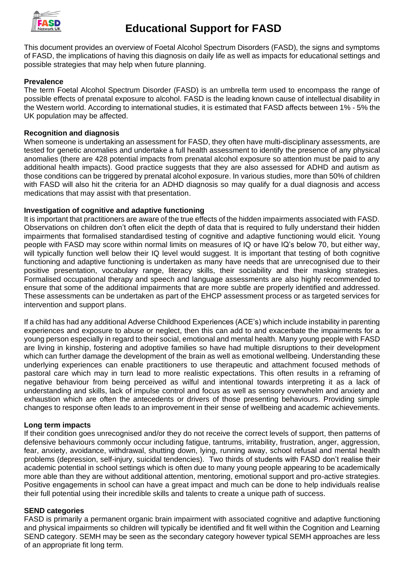

This document provides an overview of Foetal Alcohol Spectrum Disorders (FASD), the signs and symptoms of FASD, the implications of having this diagnosis on daily life as well as impacts for educational settings and possible strategies that may help when future planning.

## **Prevalence**

The term Foetal Alcohol Spectrum Disorder (FASD) is an umbrella term used to encompass the range of possible effects of prenatal exposure to alcohol. FASD is the leading known cause of intellectual disability in the Western world. According to international studies, it is estimated that FASD affects between 1% - 5% the UK population may be affected.

#### **Recognition and diagnosis**

When someone is undertaking an assessment for FASD, they often have multi-disciplinary assessments, are tested for genetic anomalies and undertake a full health assessment to identify the presence of any physical anomalies (there are 428 potential impacts from prenatal alcohol exposure so attention must be paid to any additional health impacts). Good practice suggests that they are also assessed for ADHD and autism as those conditions can be triggered by prenatal alcohol exposure. In various studies, more than 50% of children with FASD will also hit the criteria for an ADHD diagnosis so may qualify for a dual diagnosis and access medications that may assist with that presentation.

## **Investigation of cognitive and adaptive functioning**

It is important that practitioners are aware of the true effects of the hidden impairments associated with FASD. Observations on children don't often elicit the depth of data that is required to fully understand their hidden impairments that formalised standardised testing of cognitive and adaptive functioning would elicit. Young people with FASD may score within normal limits on measures of IQ or have IQ's below 70, but either way, will typically function well below their IQ level would suggest. It is important that testing of both cognitive functioning and adaptive functioning is undertaken as many have needs that are unrecognised due to their positive presentation, vocabulary range, literacy skills, their sociability and their masking strategies. Formalised occupational therapy and speech and language assessments are also highly recommended to ensure that some of the additional impairments that are more subtle are properly identified and addressed. These assessments can be undertaken as part of the EHCP assessment process or as targeted services for intervention and support plans.

If a child has had any additional Adverse Childhood Experiences (ACE's) which include instability in parenting experiences and exposure to abuse or neglect, then this can add to and exacerbate the impairments for a young person especially in regard to their social, emotional and mental health. Many young people with FASD are living in kinship, fostering and adoptive families so have had multiple disruptions to their development which can further damage the development of the brain as well as emotional wellbeing. Understanding these underlying experiences can enable practitioners to use therapeutic and attachment focused methods of pastoral care which may in turn lead to more realistic expectations. This often results in a reframing of negative behaviour from being perceived as wilful and intentional towards interpreting it as a lack of understanding and skills, lack of impulse control and focus as well as sensory overwhelm and anxiety and exhaustion which are often the antecedents or drivers of those presenting behaviours. Providing simple changes to response often leads to an improvement in their sense of wellbeing and academic achievements.

#### **Long term impacts**

If their condition goes unrecognised and/or they do not receive the correct levels of support, then patterns of defensive behaviours commonly occur including fatigue, tantrums, irritability, frustration, anger, aggression, fear, anxiety, avoidance, withdrawal, shutting down, lying, running away, school refusal and mental health problems (depression, self-injury, suicidal tendencies). Two thirds of students with FASD don't realise their academic potential in school settings which is often due to many young people appearing to be academically more able than they are without additional attention, mentoring, emotional support and pro-active strategies. Positive engagements in school can have a great impact and much can be done to help individuals realise their full potential using their incredible skills and talents to create a unique path of success.

#### **SEND categories**

FASD is primarily a permanent organic brain impairment with associated cognitive and adaptive functioning and physical impairments so children will typically be identified and fit well within the Cognition and Learning SEND category. SEMH may be seen as the secondary category however typical SEMH approaches are less of an appropriate fit long term.